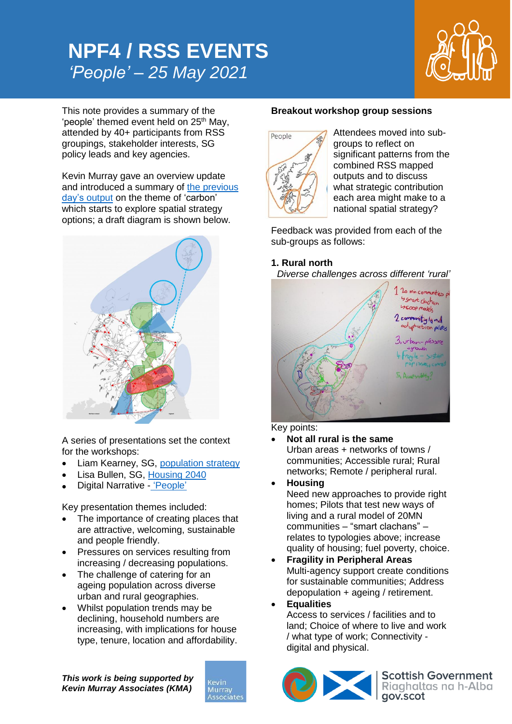# **NPF4 / RSS EVENTS** *'People' – 25 May 2021*



This note provides a summary of the 'people' themed event held on 25<sup>th</sup> May, attended by 40+ participants from RSS groupings, stakeholder interests, SG policy leads and key agencies.

Kevin Murray gave an overview update and introduced a summary of [the previous](https://kmaglasgow-my.sharepoint.com/:v:/g/personal/rim_kevinmurrayassociates_com/EW4y-U7bxP5OjNwcb6BmaKcBfEEIiPgcgw2ypyBDhJWD5g?e=MEMPe4)  [day's output](https://kmaglasgow-my.sharepoint.com/:v:/g/personal/rim_kevinmurrayassociates_com/EW4y-U7bxP5OjNwcb6BmaKcBfEEIiPgcgw2ypyBDhJWD5g?e=MEMPe4) on the theme of 'carbon' which starts to explore spatial strategy options; a draft diagram is shown below.



A series of presentations set the context for the workshops:

- Liam Kearney, SG, [population strategy](https://kmaglasgow-my.sharepoint.com/:p:/g/personal/rim_kevinmurrayassociates_com/ETQLNZ9ZqFlHqGek4JgQBAEBAtMeXh8xvWKpjpu2QS2_lw?e=oCz1u9)
- Lisa Bullen, SG, [Housing](https://kmaglasgow-my.sharepoint.com/:v:/g/personal/rim_kevinmurrayassociates_com/EVEskYxYq0lCpe7lU5ijUsIBwKLpF1056nRLzBbPMeZNRQ?e=YAZre7) 2040
- Digital Narrative ['People'](https://kmaglasgow-my.sharepoint.com/:v:/g/personal/rim_kevinmurrayassociates_com/EZLFv-ClnZNIpVvbIkZC9xUBCuZtrdu6YY0T4UrP1VuURA?e=aMNfG1)

Key presentation themes included:

- The importance of creating places that are attractive, welcoming, sustainable and people friendly.
- Pressures on services resulting from increasing / decreasing populations.
- The challenge of catering for an ageing population across diverse urban and rural geographies.
- Whilst population trends may be declining, household numbers are increasing, with implications for house type, tenure, location and affordability.

*This work is being supported by Kevin Murray Associates (KMA)*



#### **Breakout workshop group sessions**



Attendees moved into subgroups to reflect on significant patterns from the combined RSS mapped outputs and to discuss what strategic contribution each area might make to a national spatial strategy?

Feedback was provided from each of the sub-groups as follows:

## **1. Rural north**

*Diverse challenges across different 'rural'*



Key points:

 **Not all rural is the same** Urban areas + networks of towns / communities; Accessible rural; Rural networks; Remote / peripheral rural.

 **Housing** Need new approaches to provide right homes; Pilots that test new ways of living and a rural model of 20MN communities – "smart clachans" – relates to typologies above; increase quality of housing; fuel poverty, choice.

 **Fragility in Peripheral Areas** Multi-agency support create conditions for sustainable communities; Address depopulation + ageing / retirement.

**Equalities**

Access to services / facilities and to land; Choice of where to live and work / what type of work; Connectivity digital and physical.



Scottish Government<br>Riaghaltas na h-Alba<br>gov.scot